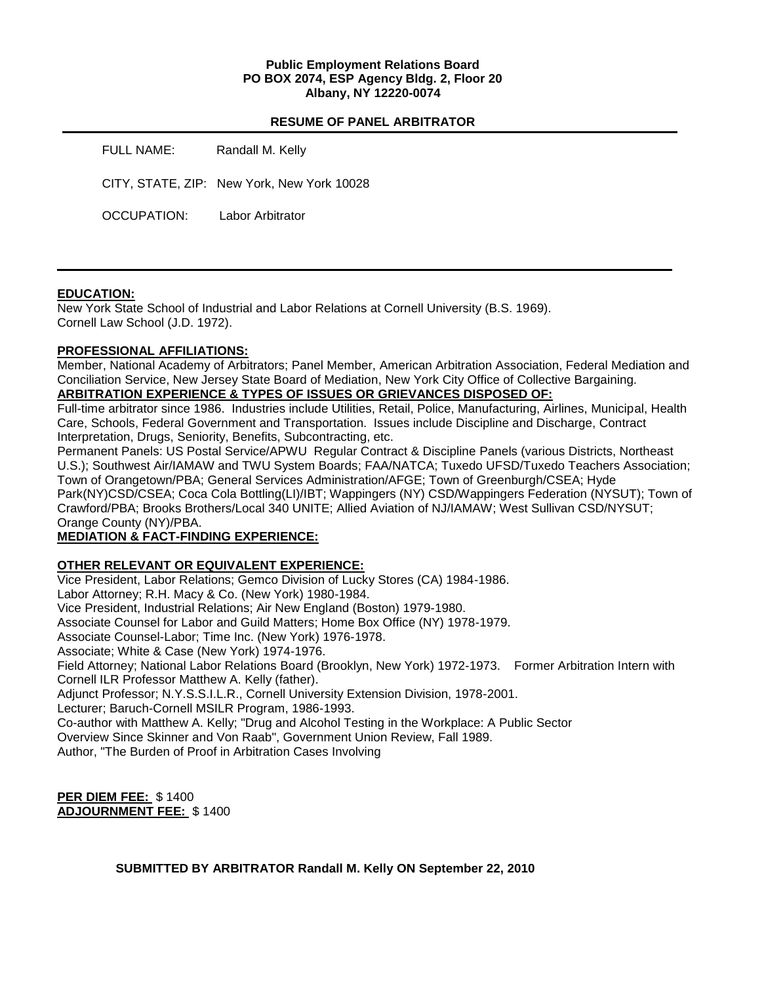#### **Public Employment Relations Board PO BOX 2074, ESP Agency Bldg. 2, Floor 20 Albany, NY 12220-0074**

#### **RESUME OF PANEL ARBITRATOR**

| FULL NAME:  | Randall M. Kelly                           |
|-------------|--------------------------------------------|
|             | CITY, STATE, ZIP: New York, New York 10028 |
| OCCUPATION: | Labor Arbitrator                           |

### **EDUCATION:**

New York State School of Industrial and Labor Relations at Cornell University (B.S. 1969). Cornell Law School (J.D. 1972).

### **PROFESSIONAL AFFILIATIONS:**

Member, National Academy of Arbitrators; Panel Member, American Arbitration Association, Federal Mediation and Conciliation Service, New Jersey State Board of Mediation, New York City Office of Collective Bargaining. **ARBITRATION EXPERIENCE & TYPES OF ISSUES OR GRIEVANCES DISPOSED OF:** 

Full-time arbitrator since 1986. Industries include Utilities, Retail, Police, Manufacturing, Airlines, Municipal, Health Care, Schools, Federal Government and Transportation. Issues include Discipline and Discharge, Contract Interpretation, Drugs, Seniority, Benefits, Subcontracting, etc.

Permanent Panels: US Postal Service/APWU Regular Contract & Discipline Panels (various Districts, Northeast U.S.); Southwest Air/IAMAW and TWU System Boards; FAA/NATCA; Tuxedo UFSD/Tuxedo Teachers Association; Town of Orangetown/PBA; General Services Administration/AFGE; Town of Greenburgh/CSEA; Hyde Park(NY)CSD/CSEA; Coca Cola Bottling(LI)/IBT; Wappingers (NY) CSD/Wappingers Federation (NYSUT); Town of Crawford/PBA; Brooks Brothers/Local 340 UNITE; Allied Aviation of NJ/IAMAW; West Sullivan CSD/NYSUT; Orange County (NY)/PBA.

# **MEDIATION & FACT-FINDING EXPERIENCE:**

# **OTHER RELEVANT OR EQUIVALENT EXPERIENCE:**

Vice President, Labor Relations; Gemco Division of Lucky Stores (CA) 1984-1986. Labor Attorney; R.H. Macy & Co. (New York) 1980-1984. Vice President, Industrial Relations; Air New England (Boston) 1979-1980. Associate Counsel for Labor and Guild Matters; Home Box Office (NY) 1978-1979. Associate Counsel-Labor; Time Inc. (New York) 1976-1978. Associate; White & Case (New York) 1974-1976. Field Attorney; National Labor Relations Board (Brooklyn, New York) 1972-1973. Former Arbitration Intern with Cornell ILR Professor Matthew A. Kelly (father). Adjunct Professor; N.Y.S.S.I.L.R., Cornell University Extension Division, 1978-2001. Lecturer; Baruch-Cornell MSILR Program, 1986-1993. Co-author with Matthew A. Kelly; "Drug and Alcohol Testing in the Workplace: A Public Sector Overview Since Skinner and Von Raab", Government Union Review, Fall 1989. Author, "The Burden of Proof in Arbitration Cases Involving

**PER DIEM FEE:** \$ 1400 **ADJOURNMENT FEE:** \$ 1400

**SUBMITTED BY ARBITRATOR Randall M. Kelly ON September 22, 2010**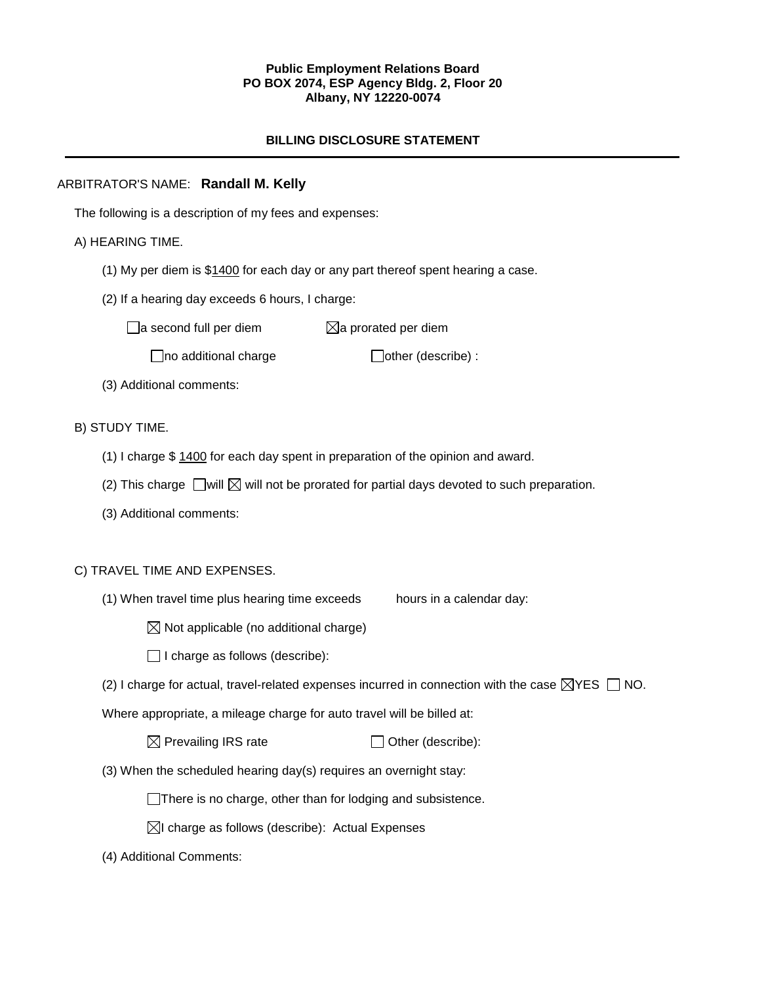#### **Public Employment Relations Board PO BOX 2074, ESP Agency Bldg. 2, Floor 20 Albany, NY 12220-0074**

# **BILLING DISCLOSURE STATEMENT**

## ARBITRATOR'S NAME: **Randall M. Kelly**

The following is a description of my fees and expenses:

### A) HEARING TIME.

- (1) My per diem is \$1400 for each day or any part thereof spent hearing a case.
- (2) If a hearing day exceeds 6 hours, I charge:

 $\Box$ a second full per diem  $\Box$ a prorated per diem

 $\Box$ no additional charge  $\Box$ other (describe) :

(3) Additional comments:

### B) STUDY TIME.

- (1) I charge \$ 1400 for each day spent in preparation of the opinion and award.
- (2) This charge  $\Box$  will  $\boxtimes$  will not be prorated for partial days devoted to such preparation.
- (3) Additional comments:

#### C) TRAVEL TIME AND EXPENSES.

(1) When travel time plus hearing time exceeds hours in a calendar day:

 $\boxtimes$  Not applicable (no additional charge)

 $\Box$  I charge as follows (describe):

(2) I charge for actual, travel-related expenses incurred in connection with the case  $\boxtimes$ YES  $\Box$  NO.

Where appropriate, a mileage charge for auto travel will be billed at:

 $\boxtimes$  Prevailing IRS rate  $\Box$  Other (describe):

(3) When the scheduled hearing day(s) requires an overnight stay:

There is no charge, other than for lodging and subsistence.

 $\boxtimes$ I charge as follows (describe): Actual Expenses

(4) Additional Comments: